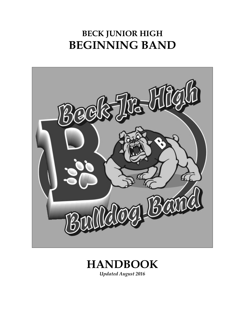## **BECK JUNIOR HIGH BEGINNING BAND**





*Updated August 2016*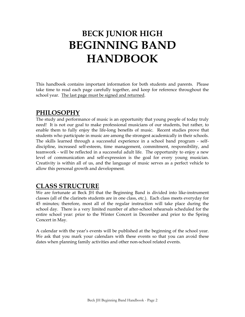# **BECK JUNIOR HIGH BEGINNING BAND HANDBOOK**

This handbook contains important information for both students and parents. Please take time to read each page carefully together, and keep for reference throughout the school year. The last page must be signed and returned.

### **PHILOSOPHY**

The study and performance of music is an opportunity that young people of today truly need! It is not our goal to make professional musicians of our students, but rather, to enable them to fully enjoy the life-long benefits of music. Recent studies prove that students who participate in music are among the strongest academically in their schools. The skills learned through a successful experience in a school band program - selfdiscipline, increased self-esteem, time management, commitment, responsibility, and teamwork - will be reflected in a successful adult life. The opportunity to enjoy a new level of communication and self-expression is the goal for every young musician. Creativity is within all of us, and the language of music serves as a perfect vehicle to allow this personal growth and development.

### **CLASS STRUCTURE**

We are fortunate at Beck JH that the Beginning Band is divided into like-instrument classes (all of the clarinets students are in one class, etc.). Each class meets everyday for 45 minutes; therefore, most all of the regular instruction will take place during the school day. There is a very limited number of after-school rehearsals scheduled for the entire school year: prior to the Winter Concert in December and prior to the Spring Concert in May.

A calendar with the year's events will be published at the beginning of the school year. We ask that you mark your calendars with these events so that you can avoid these dates when planning family activities and other non-school related events.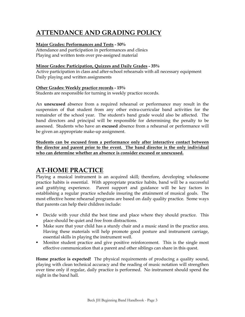### **ATTENDANCE AND GRADING POLICY**

#### **Major Grades: Performances and Tests - 50%**

Attendance and participation in performances and clinics Playing and written tests over pre-assigned material

#### **Minor Grades: Participation, Quizzes and Daily Grades - 35%**

Active participation in class and after-school rehearsals with all necessary equipment Daily playing and written assignments

#### **Other Grades: Weekly practice records - 15%**

Students are responsible for turning in weekly practice records.

An **unexcused** absence from a required rehearsal or performance may result in the suspension of that student from any other extra-curricular band activities for the remainder of the school year. The student's band grade would also be affected. The band directors and principal will be responsible for determining the penalty to be assessed. Students who have an **excused** absence from a rehearsal or performance will be given an appropriate make-up assignment.

**Students can be excused from a performance only after interactive contact between the director and parent prior to the event. The band director is the only individual who can determine whether an absence is consider excused or unexcused.** 

### **AT-HOME PRACTICE**

Playing a musical instrument is an acquired skill; therefore, developing wholesome practice habits is essential. With appropriate practice habits, band will be a successful and gratifying experience. Parent support and guidance will be key factors in establishing a regular practice schedule insuring the attainment of musical goals. The most effective home rehearsal programs are based on daily quality practice. Some ways that parents can help their children include:

- **Decide with your child the best time and place where they should practice.** This place should be quiet and free from distractions.
- Make sure that your child has a sturdy chair and a music stand in the practice area. Having these materials will help promote good posture and instrument carriage, essential skills in playing the instrument well.
- Monitor student practice and give positive reinforcement. This is the single most effective communication that a parent and other siblings can share in this quest.

**Home practice is expected!** The physical requirements of producing a quality sound, playing with clean technical accuracy and the reading of music notation will strengthen over time only if regular, daily practice is performed. No instrument should spend the night in the band hall.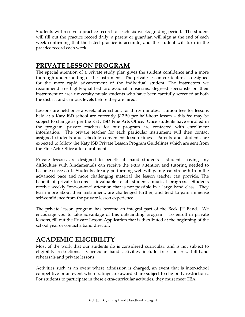Students will receive a practice record for each six-weeks grading period. The student will fill out the practice record daily, a parent or guardian will sign at the end of each week confirming that the listed practice is accurate, and the student will turn in the practice record each week.

### **PRIVATE LESSON PROGRAM**

The special attention of a private study plan gives the student confidence and a more thorough understanding of the instrument. The private lesson curriculum is designed for the more rapid advancement of the individual student. The instructors we recommend are highly-qualified professional musicians, degreed specialists on their instrument or area university music students who have been carefully screened at both the district and campus levels before they are hired.

Lessons are held once a week, after school, for thirty minutes. Tuition fees for lessons held at a Katy ISD school are currently \$17.50 per half-hour lesson – this fee may be subject to change as per the Katy ISD Fine Arts Office. Once students have enrolled in the program, private teachers for our program are contacted with enrollment information. The private teacher for each particular instrument will then contact assigned students and schedule convenient lesson times. Parents and students are expected to follow the Katy ISD Private Lesson Program Guidelines which are sent from the Fine Arts Office after enrollment.

Private lessons are designed to benefit **all** band students - students having any difficulties with fundamentals can receive the extra attention and tutoring needed to become successful. Students already performing well will gain great strength from the advanced pace and more challenging material the lesson teacher can provide. The benefit of private lessons is invaluable to **all** students' musical progress. Students receive weekly "one-on-one" attention that is not possible in a large band class. They learn more about their instrument, are challenged further, and tend to gain immense self-confidence from the private lesson experience.

The private lesson program has become an integral part of the Beck JH Band. We encourage you to take advantage of this outstanding program. To enroll in private lessons, fill out the Private Lesson Application that is distributed at the beginning of the school year or contact a band director.

### **ACADEMIC ELIGIBILITY**

Most of the work that our students do is considered curricular, and is not subject to eligibility restrictions. Curricular band activities include free concerts, full-band rehearsals and private lessons.

Activities such as an event where admission is charged, an event that is inter-school competitive or an event where ratings are awarded are subject to eligibility restrictions. For students to participate in these extra-curricular activities, they must meet TEA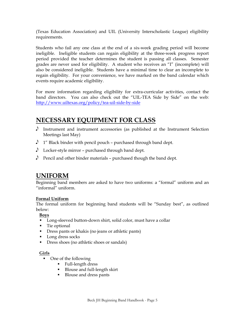(Texas Education Association) and UIL (University Interscholastic League) eligibility requirements.

Students who fail any one class at the end of a six-week grading period will become ineligible. Ineligible students can regain eligibility at the three-week progress report period provided the teacher determines the student is passing all classes. Semester grades are never used for eligibility. A student who receives an "I" (incomplete) will also be considered ineligible. Students have a minimal time to clear an incomplete to regain eligibility. For your convenience, we have marked on the band calendar which events require academic eligibility.

For more information regarding eligibility for extra-curricular activities, contact the band directors. You can also check out the "UIL-TEA Side by Side" on the web: http://www.uiltexas.org/policy/tea-uil-side-by-side

### **NECESSARY EQUIPMENT FOR CLASS**

- Instrument and instrument accessories (as published at the Instrument Selection Meetings last May)
- $\Lambda$  1" Black binder with pencil pouch purchased through band dept.
- $\Lambda$  Locker-style mirror purchased through band dept.
- $\mathcal{S}$  Pencil and other binder materials purchased though the band dept.

### **UNIFORM**

Beginning band members are asked to have two uniforms: a "formal" uniform and an "informal" uniform.

#### **Formal Uniform**

The formal uniform for beginning band students will be "Sunday best", as outlined below:

#### **Boys**

- **Long-sleeved button-down shirt, solid color, must have a collar**
- Tie optional
- Dress pants or khakis (no jeans or athletic pants)
- Long dress socks
- Dress shoes (no athletic shoes or sandals)

#### **Girls**

- One of the following
	- **Full-length dress**
	- Blouse and full-length skirt
	- Blouse and dress pants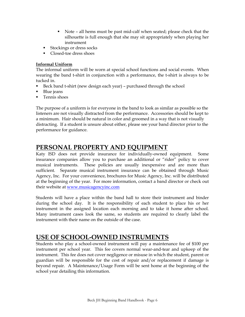- Note all hems must be past mid-calf when seated; please check that the silhouette is full enough that she may sit appropriately when playing her instrument
- Stockings or dress socks
- Closed-toe dress shoes

#### **Informal Uniform**

The informal uniform will be worn at special school functions and social events. When wearing the band t-shirt in conjunction with a performance, the t-shirt is always to be tucked in.

- Beck band t-shirt (new design each year) purchased through the school
- **Blue** jeans
- **Tennis shoes**

The purpose of a uniform is for everyone in the band to look as similar as possible so the listeners are not visually distracted from the performance. Accessories should be kept to a minimum. Hair should be natural in color and groomed in a way that is not visually distracting. If a student is unsure about either, please see your band director prior to the performance for guidance.

### **PERSONAL PROPERTY AND EQUIPMENT**

Katy ISD does not provide insurance for individually-owned equipment. Some insurance companies allow you to purchase an additional or "rider" policy to cover musical instruments. These policies are usually inexpensive and are more than sufficient. Separate musical instrument insurance can be obtained through Music Agency, Inc. For your convenience, brochures for Music Agency, Inc. will be distributed at the beginning of the year. For more information, contact a band director or check out their website at www.musicagencyinc.com

Students will have a place within the band hall to store their instrument and binder during the school day. It is the responsibility of each student to place his or her instrument in the assigned location each morning and to take it home after school. Many instrument cases look the same, so students are required to clearly label the instrument with their name on the outside of the case.

### **USE OF SCHOOL-OWNED INSTRUMENTS**

Students who play a school-owned instrument will pay a maintenance fee of \$100 per instrument per school year. This fee covers normal wear-and-tear and upkeep of the instrument. This fee does not cover negligence or misuse in which the student, parent or guardian will be responsible for the cost of repair and/or replacement if damage is beyond repair. A Maintenance/Usage Form will be sent home at the beginning of the school year detailing this information.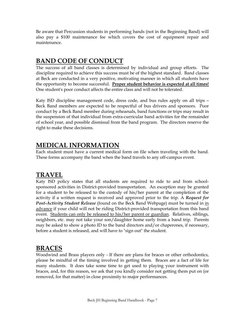Be aware that Percussion students in performing bands (not in the Beginning Band) will also pay a \$100 maintenance fee which covers the cost of equipment repair and maintenance.

### **BAND CODE OF CONDUCT**

The success of all band classes is determined by individual and group efforts. The discipline required to achieve this success must be of the highest standard. Band classes at Beck are conducted in a very positive, motivating manner in which all students have the opportunity to become successful. **Proper student behavior is expected at all times!** One student's poor conduct affects the entire class and will not be tolerated.

Katy ISD discipline management code, dress code, and bus rules apply on all trips – Beck Band members are expected to be respectful of bus drivers and sponsors. Poor conduct by a Beck Band member during rehearsals, band functions or trips may result in the suspension of that individual from extra-curricular band activities for the remainder of school year, and possible dismissal from the band program. The directors reserve the right to make these decisions.

### **MEDICAL INFORMATION**

Each student must have a current medical form on file when traveling with the band. These forms accompany the band when the band travels to any off-campus event.

### **TRAVEL**

Katy ISD policy states that all students are required to ride to and from schoolsponsored activities in District-provided transportation. An exception may be granted for a student to be released to the custody of his/her parent at the completion of the activity if a written request is received and approved prior to the trip. A *Request for Post-Activity Student Release* (found on the Beck Band Webpage) must be turned in in advance if your child will not be riding District-provided transportation from this band event. Students can only be released to his/her parent or guardian. Relatives, siblings, neighbors, etc. may not take your son/daughter home early from a band trip. Parents may be asked to show a photo ID to the band directors and/or chaperones, if necessary, before a student is released, and will have to "sign out" the student.

### **BRACES**

Woodwind and Brass players only - If there are plans for braces or other orthodontics, please be mindful of the timing involved in getting them. Braces are a fact of life for many students. It does take some time to get used to playing your instrument with braces, and, for this reason, we ask that you kindly consider not getting them put on (or removed, for that matter) in close proximity to major performances.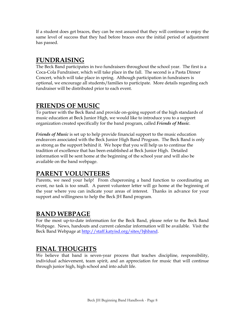If a student does get braces, they can be rest assured that they will continue to enjoy the same level of success that they had before braces once the initial period of adjustment has passed.

### **FUNDRAISING**

The Beck Band participates in two fundraisers throughout the school year. The first is a Coca-Cola Fundraiser, which will take place in the fall. The second is a Pasta Dinner Concert, which will take place in spring. Although participation in fundraisers is optional, we encourage all students/families to participate. More details regarding each fundraiser will be distributed prior to each event.

### **FRIENDS OF MUSIC**

To partner with the Beck Band and provide on-going support of the high standards of music education at Beck Junior High, we would like to introduce you to a support organization created specifically for the band program, called *Friends of Music*.

*Friends of Music* is set up to help provide financial support to the music education endeavors associated with the Beck Junior High Band Program. The Beck Band is only as strong as the support behind it. We hope that you will help us to continue the tradition of excellence that has been established at Beck Junior High. Detailed information will be sent home at the beginning of the school year and will also be available on the band webpage.

### **PARENT VOLUNTEERS**

Parents, we need your help! From chaperoning a band function to coordinating an event, no task is too small. A parent volunteer letter will go home at the beginning of the year where you can indicate your areas of interest. Thanks in advance for your support and willingness to help the Beck JH Band program.

### **BAND WEBPAGE**

For the most up-to-date information for the Beck Band, please refer to the Beck Band Webpage. News, handouts and current calendar information will be available. Visit the Beck Band Webpage at http://staff.katyisd.org/sites/bjhband.

### **FINAL THOUGHTS**

We believe that band is seven-year process that teaches discipline, responsibility, individual achievement, team spirit, and an appreciation for music that will continue through junior high, high school and into adult life.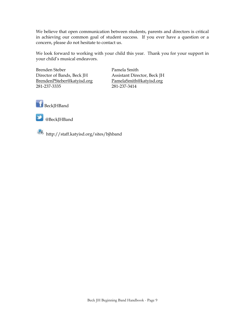We believe that open communication between students, parents and directors is critical in achieving our common goal of student success. If you ever have a question or a concern, please do not hesitate to contact us.

We look forward to working with your child this year. Thank you for your support in your child's musical endeavors.

Brenden Steber Pamela Smith Director of Bands, Beck JH Assistant Director, Beck JH BrendenPSteber@katyisd.org PamelaSmith@katyisd.org 281-237-3335 281-237-3414





@BeckJHBand

http://staff.katyisd.org/sites/bjhband